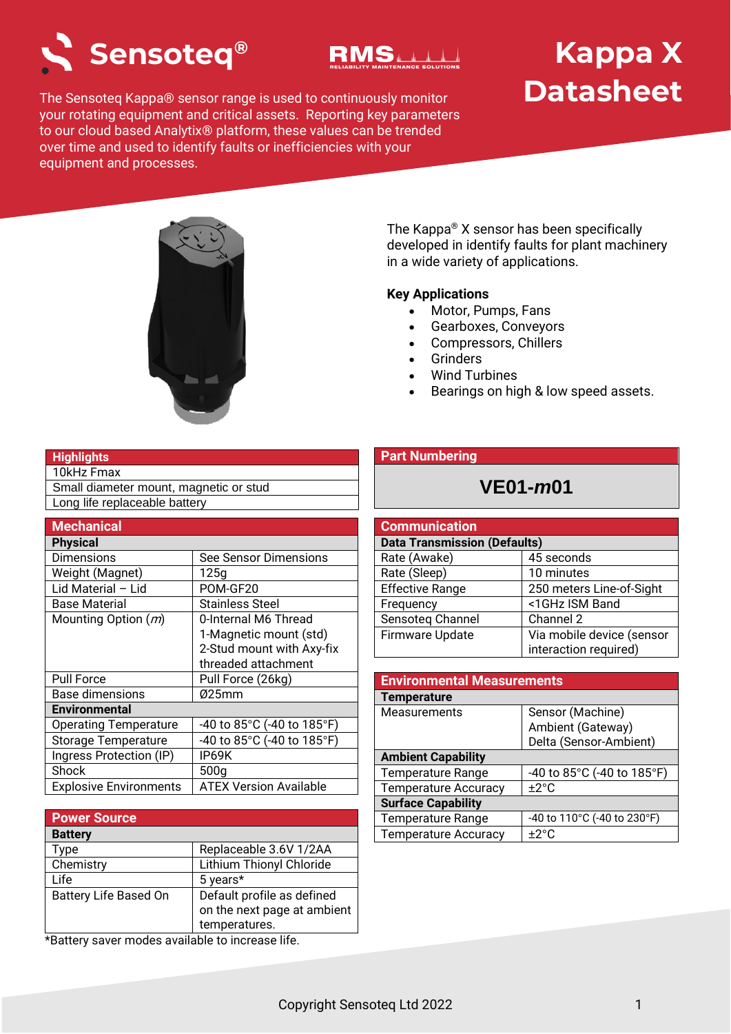



# **Kappa X Datasheet**

The Sensoteq Kappa® sensor range is used to continuously monitor your rotating equipment and critical assets. Reporting key parameters to our cloud based Analytix® platform, these values can be trended over time and used to identify faults or inefficiencies with your equipment and processes.



The Kappa® X sensor has been specifically developed in identify faults for plant machinery in a wide variety of applications.

### **Key Applications**

- Motor, Pumps, Fans
- Gearboxes, Conveyors
- Compressors, Chillers
- **Grinders**
- Wind Turbines
- Bearings on high & low speed assets.

### **Highlights**

10kHz Fmax

Small diameter mount, magnetic or stud Long life replaceable battery

| <b>Mechanical</b>             |                               |
|-------------------------------|-------------------------------|
| <b>Physical</b>               |                               |
| <b>Dimensions</b>             | See Sensor Dimensions         |
| Weight (Magnet)               | 125a                          |
| Lid Material – Lid            | POM-GF20                      |
| Base Material                 | <b>Stainless Steel</b>        |
| Mounting Option $(m)$         | 0-Internal M6 Thread          |
|                               | 1-Magnetic mount (std)        |
|                               | 2-Stud mount with Axy-fix     |
|                               | threaded attachment           |
| <b>Pull Force</b>             | Pull Force (26kg)             |
| <b>Base dimensions</b>        | Ø25mm                         |
| <b>Environmental</b>          |                               |
| <b>Operating Temperature</b>  | -40 to 85°C (-40 to 185°F)    |
| <b>Storage Temperature</b>    | $-40$ to 85°C (-40 to 185°F)  |
| Ingress Protection (IP)       | IP69K                         |
| Shock                         | 500 <sub>g</sub>              |
| <b>Explosive Environments</b> | <b>ATEX Version Available</b> |

| <b>Power Source</b>          |                             |
|------------------------------|-----------------------------|
| <b>Battery</b>               |                             |
| Type                         | Replaceable 3.6V 1/2AA      |
| Chemistry                    | Lithium Thionyl Chloride    |
| Life                         | 5 years*                    |
| <b>Battery Life Based On</b> | Default profile as defined  |
|                              | on the next page at ambient |
|                              | temperatures.               |

\*Battery saver modes available to increase life.

### **Part Numbering**

### **VE01-***m***01**

| <b>Communication</b>                |                           |  |
|-------------------------------------|---------------------------|--|
| <b>Data Transmission (Defaults)</b> |                           |  |
| Rate (Awake)                        | 45 seconds                |  |
| Rate (Sleep)                        | 10 minutes                |  |
| <b>Effective Range</b>              | 250 meters Line-of-Sight  |  |
| Frequency                           | <1GHz ISM Band            |  |
| Sensoteg Channel                    | Channel 2                 |  |
| <b>Firmware Update</b>              | Via mobile device (sensor |  |
|                                     | interaction required)     |  |

| <b>Environmental Measurements</b> |                             |
|-----------------------------------|-----------------------------|
| <b>Temperature</b>                |                             |
| Measurements                      | Sensor (Machine)            |
|                                   | Ambient (Gateway)           |
|                                   | Delta (Sensor-Ambient)      |
| <b>Ambient Capability</b>         |                             |
| <b>Temperature Range</b>          | -40 to 85°C (-40 to 185°F)  |
| <b>Temperature Accuracy</b>       | ±2°C                        |
| <b>Surface Capability</b>         |                             |
| <b>Temperature Range</b>          | -40 to 110°C (-40 to 230°F) |
| <b>Temperature Accuracy</b>       | $+2^{\circ}C$               |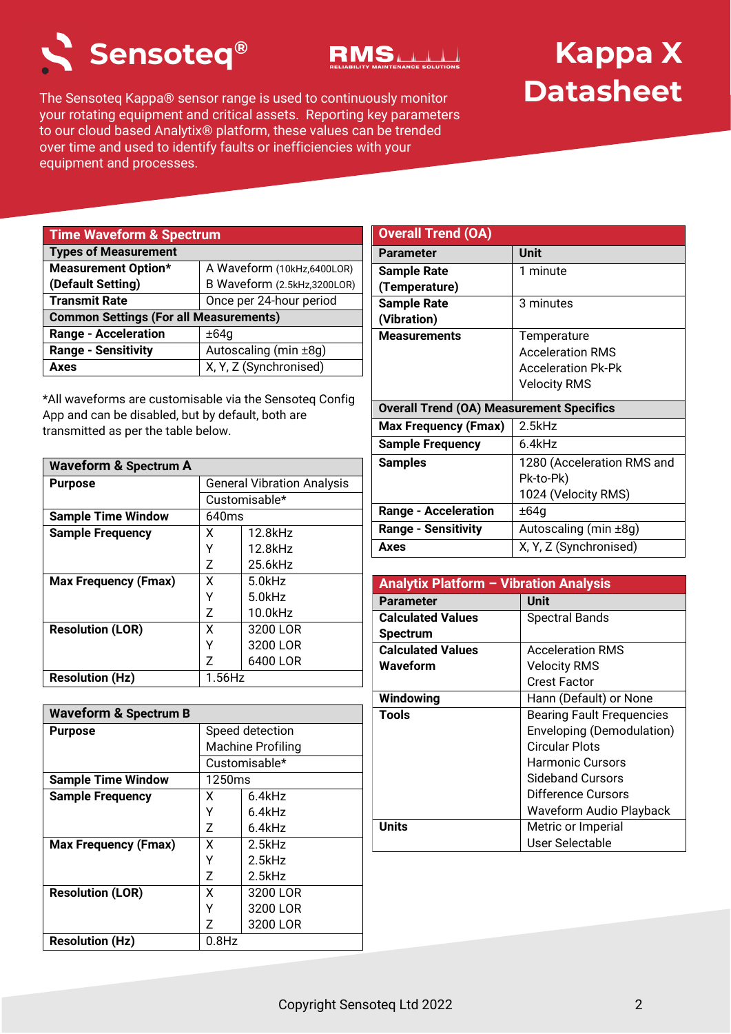



# **Kappa X Datasheet**

The Sensoteq Kappa® sensor range is used to continuously monitor your rotating equipment and critical assets. Reporting key parameters to our cloud based Analytix® platform, these values can be trended over time and used to identify faults or inefficiencies with your equipment and processes.

| <b>Time Waveform &amp; Spectrum</b>           |                             |
|-----------------------------------------------|-----------------------------|
| <b>Types of Measurement</b>                   |                             |
| <b>Measurement Option*</b>                    | A Waveform (10kHz,6400LOR)  |
| (Default Setting)                             | B Waveform (2.5kHz,3200LOR) |
| <b>Transmit Rate</b>                          | Once per 24-hour period     |
| <b>Common Settings (For all Measurements)</b> |                             |
| <b>Range - Acceleration</b>                   | ±64g                        |
| <b>Range - Sensitivity</b>                    | Autoscaling (min ±8g)       |
| Axes                                          | X, Y, Z (Synchronised)      |

\*All waveforms are customisable via the Sensoteq Config App and can be disabled, but by default, both are transmitted as per the table below.

| <b>Waveform &amp; Spectrum A</b> |                                   |               |
|----------------------------------|-----------------------------------|---------------|
| <b>Purpose</b>                   | <b>General Vibration Analysis</b> |               |
|                                  |                                   | Customisable* |
| <b>Sample Time Window</b>        | 640ms                             |               |
| <b>Sample Frequency</b>          | x                                 | 12.8kHz       |
|                                  | Υ                                 | 12.8kHz       |
|                                  | Z                                 | 25.6kHz       |
| <b>Max Frequency (Fmax)</b>      | x                                 | $5.0$ kHz     |
|                                  | Υ                                 | $5.0$ kHz     |
|                                  | 7                                 | 10.0kHz       |
| <b>Resolution (LOR)</b>          | x                                 | 3200 LOR      |
|                                  | γ                                 | 3200 LOR      |
|                                  | 7                                 | 6400 LOR      |
| <b>Resolution (Hz)</b>           | $1.56$ Hz                         |               |

| <b>Waveform &amp; Spectrum B</b> |                          |               |
|----------------------------------|--------------------------|---------------|
| <b>Purpose</b>                   | Speed detection          |               |
|                                  | <b>Machine Profiling</b> |               |
|                                  |                          | Customisable* |
| <b>Sample Time Window</b>        | 1250ms                   |               |
| <b>Sample Frequency</b>          | x                        | 6.4kHz        |
|                                  | γ                        | 6.4kHz        |
|                                  | Z                        | 6.4kHz        |
| <b>Max Frequency (Fmax)</b>      | x                        | 2.5kHz        |
|                                  | γ                        | $2.5$ kHz     |
|                                  | 7                        | $2.5$ kHz     |
| <b>Resolution (LOR)</b>          | x                        | 3200 LOR      |
|                                  |                          | 3200 LOR      |
|                                  | 7                        | 3200 LOR      |
| <b>Resolution (Hz)</b>           | $0.8$ Hz                 |               |

| <b>Overall Trend (OA)</b>                       |                            |
|-------------------------------------------------|----------------------------|
| <b>Parameter</b>                                | <b>Unit</b>                |
| <b>Sample Rate</b>                              | 1 minute                   |
| (Temperature)                                   |                            |
| <b>Sample Rate</b>                              | 3 minutes                  |
| (Vibration)                                     |                            |
| <b>Measurements</b>                             | Temperature                |
|                                                 | <b>Acceleration RMS</b>    |
|                                                 | <b>Acceleration Pk-Pk</b>  |
|                                                 | <b>Velocity RMS</b>        |
| <b>Overall Trend (OA) Measurement Specifics</b> |                            |
| <b>Max Frequency (Fmax)</b>                     | $2.5$ kHz                  |
| <b>Sample Frequency</b>                         | 6.4kHz                     |
| <b>Samples</b>                                  | 1280 (Acceleration RMS and |
|                                                 | Pk-to-Pk)                  |
|                                                 | 1024 (Velocity RMS)        |
| <b>Range - Acceleration</b>                     | ±64g                       |
| <b>Range - Sensitivity</b>                      | Autoscaling (min ±8g)      |
| Axes                                            | X, Y, Z (Synchronised)     |

| <b>Analytix Platform - Vibration Analysis</b> |                                  |
|-----------------------------------------------|----------------------------------|
| <b>Parameter</b>                              | <b>Unit</b>                      |
| <b>Calculated Values</b>                      | <b>Spectral Bands</b>            |
| <b>Spectrum</b>                               |                                  |
| <b>Calculated Values</b>                      | <b>Acceleration RMS</b>          |
| Waveform                                      | <b>Velocity RMS</b>              |
|                                               | Crest Factor                     |
| Windowing                                     | Hann (Default) or None           |
| <b>Tools</b>                                  | <b>Bearing Fault Frequencies</b> |
|                                               | Enveloping (Demodulation)        |
|                                               | Circular Plots                   |
|                                               | Harmonic Cursors                 |
|                                               | Sideband Cursors                 |
|                                               | Difference Cursors               |
|                                               | Waveform Audio Playback          |
| Units                                         | Metric or Imperial               |
|                                               | User Selectable                  |